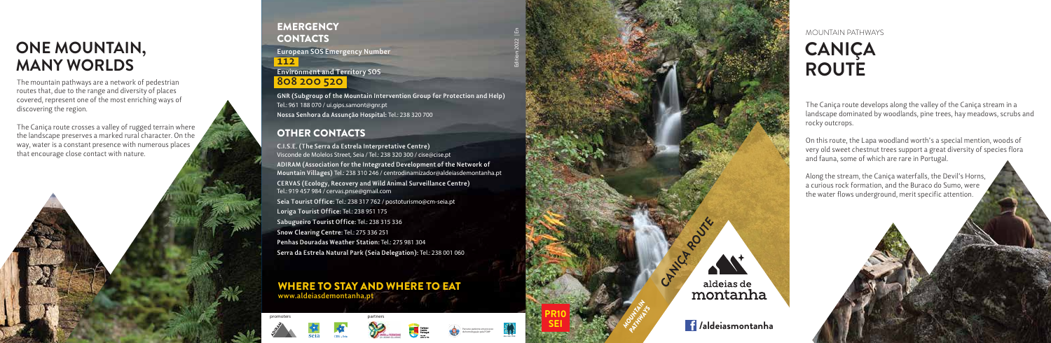# **CANIÇA ROUTE**

The Caniça route develops along the valley of the Caniça stream in a landscape dominated by woodlands, pine trees, hay meadows, scrubs and

rocky outcrops.

On this route, the Lapa woodland worth's a special mention, woods of very old sweet chestnut trees support a great diversity of species flora and fauna, some of which are rare in Portugal.

#### MOUNTAIN PATHWAYS

Along the stream, the Caniça waterfalls, the Devil's Horns, a curious rock formation, and the Buraco do Sumo, were the water flows underground, merit specific attention.



The mountain pathways are a network of pedestrian routes that, due to the range and diversity of places covered, represent one of the most enriching ways of discovering the region.

The Caniça route crosses a valley of rugged terrain where the landscape preserves a marked rural character. On the way, water is a constant presence with numerous places that encourage close contact with nature.

**EMERGENCY CONTACTS European SOS Emergency Number 112**

# **ONE MOUNTAIN, MANY WORLDS**

#### WHERE TO STAY AND WHERE TO EAT **www.aldeiasdemontanha.pt**

promoters **partners** 





**C.I.S.E. (The Serra da Estrela Interpretative Centre)** Visconde de Molelos Street, Seia / Tel.: 238 320 300 / cise@cise.pt **ADIRAM (Association for the Integrated Development of the Network of Mountain Villages)** Tel.: 238 310 246 / centrodinamizador@aldeiasdemontanha.pt **CERVAS (Ecology, Recovery and Wild Animal Surveillance Centre)** Tel.: 919 457 984 / cervas.pnse@gmail.com **Seia Tourist Office:** Tel.: 238 317 762 / postoturismo@cm-seia.pt **Loriga Tourist Office:** Tel.: 238 951 175 **Sabugueiro Tourist Office:** Tel.: 238 315 336 **Snow Clearing Centre:** Tel.: 275 336 251 **Penhas Douradas Weather Station:** Tel.: 275 981 304 **Serra da Estrela Natural Park (Seia Delegation):** Tel.: 238 001 060

## OTHER CONTACTS

### **Environment and Territory SOS 808 200 520**

**GNR (Subgroup of the Mountain Intervention Group for Protection and Help)** Tel.: 961 188 070 / ui.gips.samont@gnr.pt **Nossa Senhora da Assunção Hospital:** Tel.: 238 320 700

> *Percurso pedestre em processo de homologação pela FCMP*

Edition 2022 | En